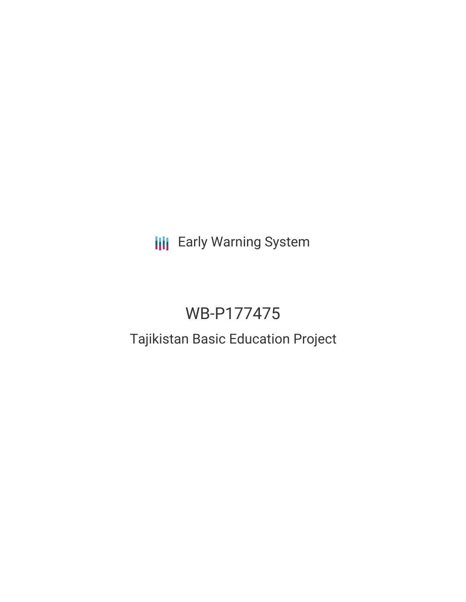# **III** Early Warning System

# WB-P177475

# Tajikistan Basic Education Project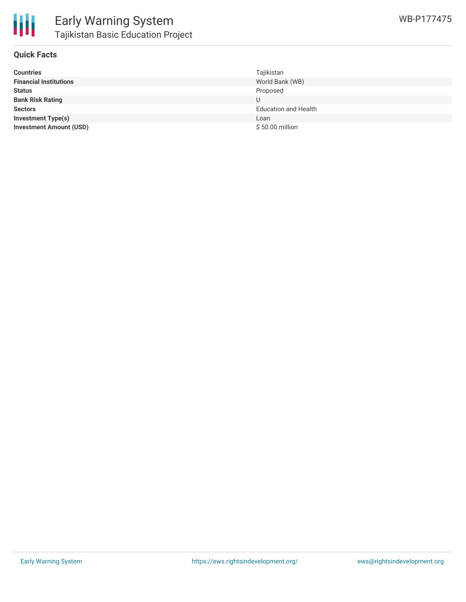

#### **Quick Facts**

| <b>Countries</b>               | Tajikistan                  |
|--------------------------------|-----------------------------|
| <b>Financial Institutions</b>  | World Bank (WB)             |
| <b>Status</b>                  | Proposed                    |
| <b>Bank Risk Rating</b>        |                             |
| <b>Sectors</b>                 | <b>Education and Health</b> |
| <b>Investment Type(s)</b>      | Loan                        |
| <b>Investment Amount (USD)</b> | \$50.00 million             |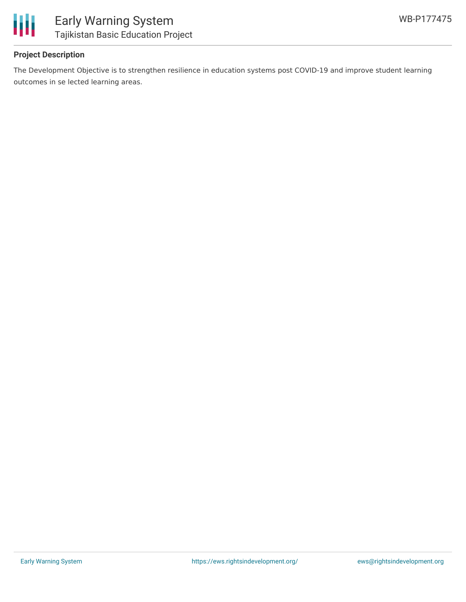

## **Project Description**

The Development Objective is to strengthen resilience in education systems post COVID-19 and improve student learning outcomes in se lected learning areas.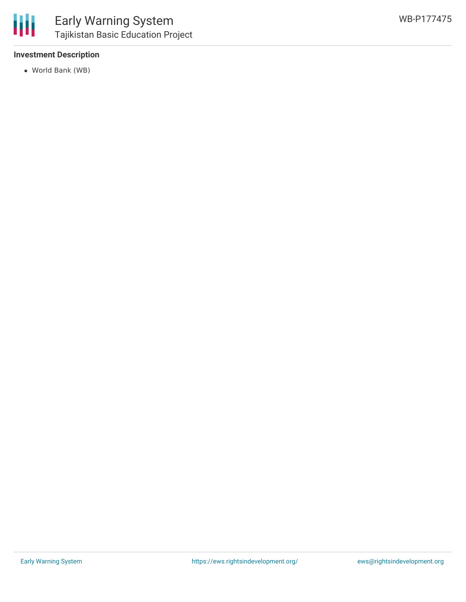

### **Investment Description**

World Bank (WB)